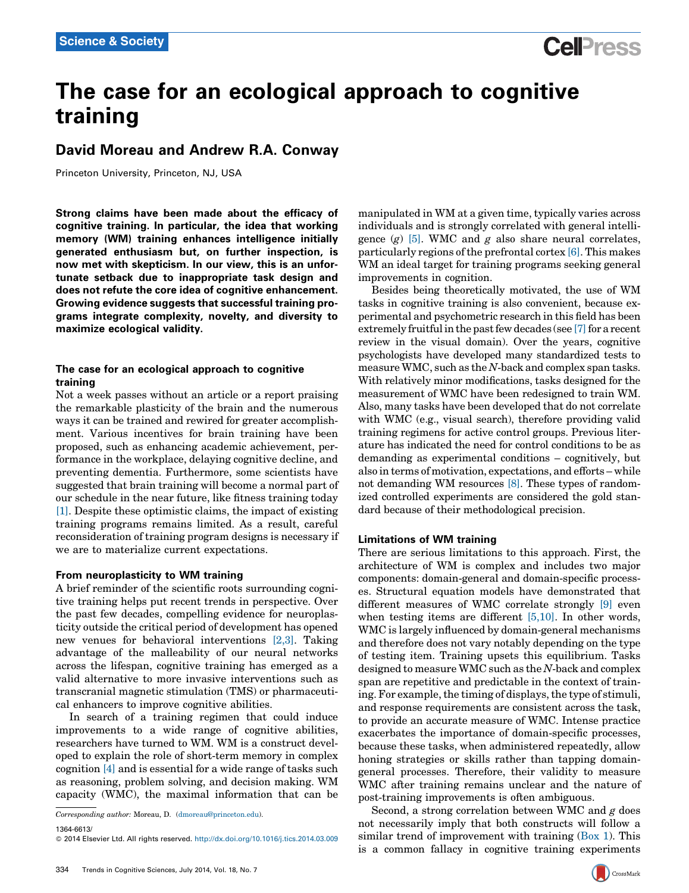# The case for an ecological approach to cognitive training

# David Moreau and Andrew R.A. Conway

Princeton University, Princeton, NJ, USA

Strong claims have been made about the efficacy of cognitive training. In particular, the idea that working memory (WM) training enhances intelligence initially generated enthusiasm but, on further inspection, is now met with skepticism. In our view, this is an unfortunate setback due to inappropriate task design and does not refute the core idea of cognitive enhancement. Growing evidence suggests that successful training programs integrate complexity, novelty, and diversity to maximize ecological validity.

# The case for an ecological approach to cognitive training

Not a week passes without an article or a report praising the remarkable plasticity of the brain and the numerous ways it can be trained and rewired for greater accomplishment. Various incentives for brain training have been proposed, such as enhancing academic achievement, performance in the workplace, delaying cognitive decline, and preventing dementia. Furthermore, some scientists have suggested that brain training will become a normal part of our schedule in the near future, like fitness training today [\[1\].](#page-2-0) Despite these optimistic claims, the impact of existing training programs remains limited. As a result, careful reconsideration of training program designs is necessary if we are to materialize current expectations.

### From neuroplasticity to WM training

A brief reminder of the scientific roots surrounding cognitive training helps put recent trends in perspective. Over the past few decades, compelling evidence for neuroplasticity outside the critical period of development has opened new venues for behavioral interventions [\[2,3\].](#page-2-0) Taking advantage of the malleability of our neural networks across the lifespan, cognitive training has emerged as a valid alternative to more invasive interventions such as transcranial magnetic stimulation (TMS) or pharmaceutical enhancers to improve cognitive abilities.

In search of a training regimen that could induce improvements to a wide range of cognitive abilities, researchers have turned to WM. WM is a construct developed to explain the role of short-term memory in complex cognition [\[4\]](#page-2-0) and is essential for a wide range of tasks such as reasoning, problem solving, and decision making. WM capacity (WMC), the maximal information that can be

1364-6613/

manipulated in WM at a given time, typically varies across individuals and is strongly correlated with general intelligence  $(g)$  [\[5\]](#page-2-0). WMC and  $g$  also share neural correlates, particularly regions of the prefrontal cortex [\[6\].](#page-2-0) This makes WM an ideal target for training programs seeking general improvements in cognition.

Besides being theoretically motivated, the use of WM tasks in cognitive training is also convenient, because experimental and psychometric research in this field has been extremely fruitful in the past few decades (see  $[7]$  for a recent review in the visual domain). Over the years, cognitive psychologists have developed many standardized tests to measure WMC, such as the N-back and complex span tasks. With relatively minor modifications, tasks designed for the measurement of WMC have been redesigned to train WM. Also, many tasks have been developed that do not correlate with WMC (e.g., visual search), therefore providing valid training regimens for active control groups. Previous literature has indicated the need for control conditions to be as demanding as experimental conditions – cognitively, but also in terms of motivation, expectations, and efforts – while not demanding WM resources [\[8\].](#page-2-0) These types of randomized controlled experiments are considered the gold standard because of their methodological precision.

# Limitations of WM training

There are serious limitations to this approach. First, the architecture of WM is complex and includes two major components: domain-general and domain-specific processes. Structural equation models have demonstrated that different measures of WMC correlate strongly [\[9\]](#page-2-0) even when testing items are different  $[5,10]$ . In other words, WMC is largely influenced by domain-general mechanisms and therefore does not vary notably depending on the type of testing item. Training upsets this equilibrium. Tasks designed to measure WMC such as the N-back and complex span are repetitive and predictable in the context of training. For example, the timing of displays, the type of stimuli, and response requirements are consistent across the task, to provide an accurate measure of WMC. Intense practice exacerbates the importance of domain-specific processes, because these tasks, when administered repeatedly, allow honing strategies or skills rather than tapping domaingeneral processes. Therefore, their validity to measure WMC after training remains unclear and the nature of post-training improvements is often ambiguous.

Second, a strong correlation between WMC and  $g$  does not necessarily imply that both constructs will follow a similar trend of improvement with training  $(Box 1)$  $(Box 1)$ . This is a common fallacy in cognitive training experiments

Corresponding author: Moreau, D. ([dmoreau@princeton.edu](mailto:dmoreau@princeton.edu)).

<sup>© 2014</sup> Elsevier Ltd. All rights reserved. <http://dx.doi.org/10.1016/j.tics.2014.03.009>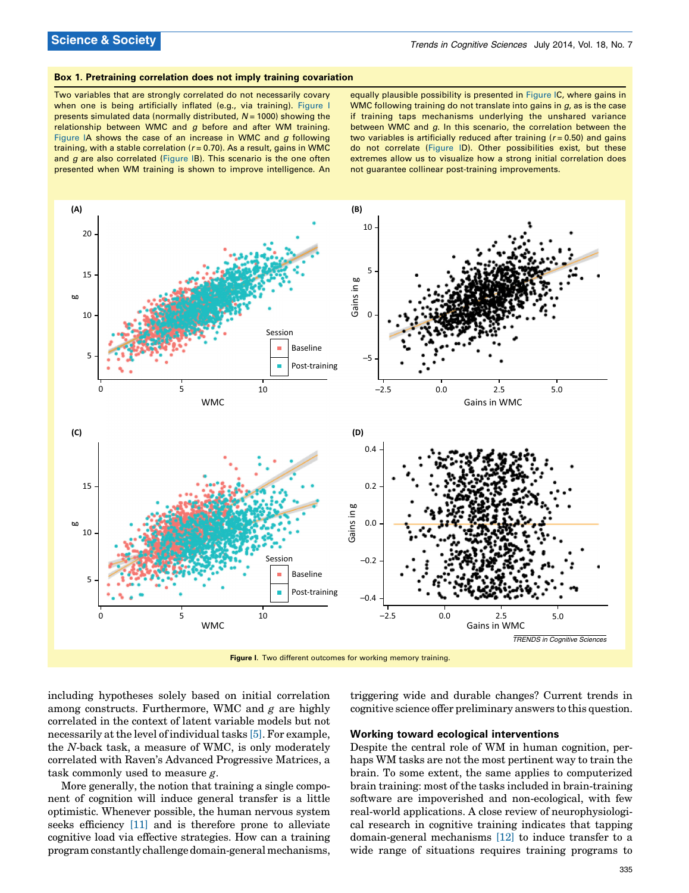#### <span id="page-1-0"></span>Box 1. Pretraining correlation does not imply training covariation

Two variables that are strongly correlated do not necessarily covary when one is being artificially inflated (e.g., via training). Figure I presents simulated data (normally distributed,  $N = 1000$ ) showing the relationship between WMC and  $g$  before and after WM training. Figure IA shows the case of an increase in WMC and  $g$  following training, with a stable correlation ( $r = 0.70$ ). As a result, gains in WMC and  $g$  are also correlated (Figure IB). This scenario is the one often presented when WM training is shown to improve intelligence. An

equally plausible possibility is presented in Figure IC, where gains in WMC following training do not translate into gains in  $g$ , as is the case if training taps mechanisms underlying the unshared variance between WMC and g. In this scenario, the correlation between the two variables is artificially reduced after training ( $r = 0.50$ ) and gains do not correlate (Figure ID). Other possibilities exist, but these extremes allow us to visualize how a strong initial correlation does not guarantee collinear post-training improvements.



Figure I. Two different outcomes for working memory training.

including hypotheses solely based on initial correlation among constructs. Furthermore, WMC and  $g$  are highly correlated in the context of latent variable models but not necessarily at the level of individual tasks [\[5\]](#page-2-0). For example, the N-back task, a measure of WMC, is only moderately correlated with Raven's Advanced Progressive Matrices, a task commonly used to measure g.

More generally, the notion that training a single component of cognition will induce general transfer is a little optimistic. Whenever possible, the human nervous system seeks efficiency [\[11\]](#page-2-0) and is therefore prone to alleviate cognitive load via effective strategies. How can a training program constantly challenge domain-general mechanisms,

triggering wide and durable changes? Current trends in cognitive science offer preliminary answers to this question.

#### Working toward ecological interventions

Despite the central role of WM in human cognition, perhaps WM tasks are not the most pertinent way to train the brain. To some extent, the same applies to computerized brain training: most of the tasks included in brain-training software are impoverished and non-ecological, with few real-world applications. A close review of neurophysiological research in cognitive training indicates that tapping domain-general mechanisms [\[12\]](#page-2-0) to induce transfer to a wide range of situations requires training programs to